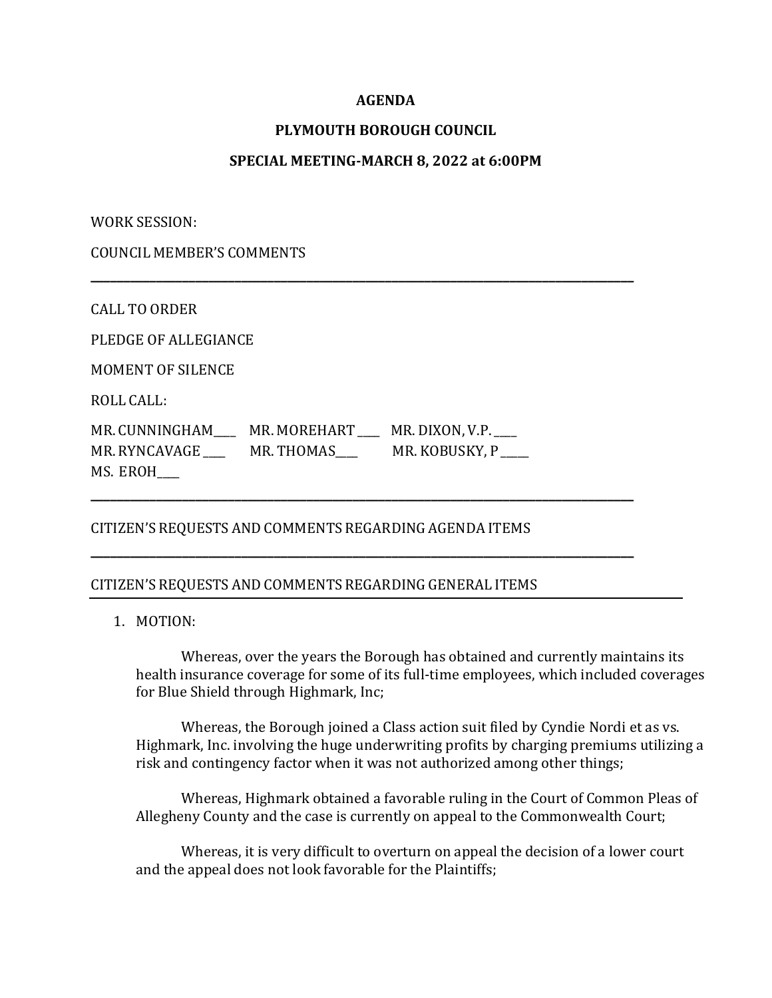## **AGENDA**

# **PLYMOUTH BOROUGH COUNCIL**

## **SPECIAL MEETING-MARCH 8, 2022 at 6:00PM**

**\_\_\_\_\_\_\_\_\_\_\_\_\_\_\_\_\_\_\_\_\_\_\_\_\_\_\_\_\_\_\_\_\_\_\_\_\_\_\_\_\_\_\_\_\_\_\_\_\_\_\_\_\_\_\_\_\_\_\_\_\_\_\_\_\_\_\_\_\_\_\_\_\_\_\_\_\_\_\_\_\_\_\_**

**\_\_\_\_\_\_\_\_\_\_\_\_\_\_\_\_\_\_\_\_\_\_\_\_\_\_\_\_\_\_\_\_\_\_\_\_\_\_\_\_\_\_\_\_\_\_\_\_\_\_\_\_\_\_\_\_\_\_\_\_\_\_\_\_\_\_\_\_\_\_\_\_\_\_\_\_\_\_\_\_\_\_\_**

**\_\_\_\_\_\_\_\_\_\_\_\_\_\_\_\_\_\_\_\_\_\_\_\_\_\_\_\_\_\_\_\_\_\_\_\_\_\_\_\_\_\_\_\_\_\_\_\_\_\_\_\_\_\_\_\_\_\_\_\_\_\_\_\_\_\_\_\_\_\_\_\_\_\_\_\_\_\_\_\_\_\_\_**

WORK SESSION:

COUNCIL MEMBER'S COMMENTS

CALL TO ORDER

PLEDGE OF ALLEGIANCE

MOMENT OF SILENCE

ROLL CALL:

MR. CUNNINGHAM\_\_\_\_\_ MR. MOREHART \_\_\_ MR. DIXON, V.P. \_\_\_ MR. RYNCAVAGE \_\_\_\_\_ MR. THOMAS \_\_\_\_\_ MR. KOBUSKY, P MS. EROH\_\_\_\_

## CITIZEN'S REQUESTS AND COMMENTS REGARDING AGENDA ITEMS

#### CITIZEN'S REQUESTS AND COMMENTS REGARDING GENERAL ITEMS

1. MOTION:

Whereas, over the years the Borough has obtained and currently maintains its health insurance coverage for some of its full-time employees, which included coverages for Blue Shield through Highmark, Inc;

Whereas, the Borough joined a Class action suit filed by Cyndie Nordi et as vs. Highmark, Inc. involving the huge underwriting profits by charging premiums utilizing a risk and contingency factor when it was not authorized among other things;

Whereas, Highmark obtained a favorable ruling in the Court of Common Pleas of Allegheny County and the case is currently on appeal to the Commonwealth Court;

Whereas, it is very difficult to overturn on appeal the decision of a lower court and the appeal does not look favorable for the Plaintiffs;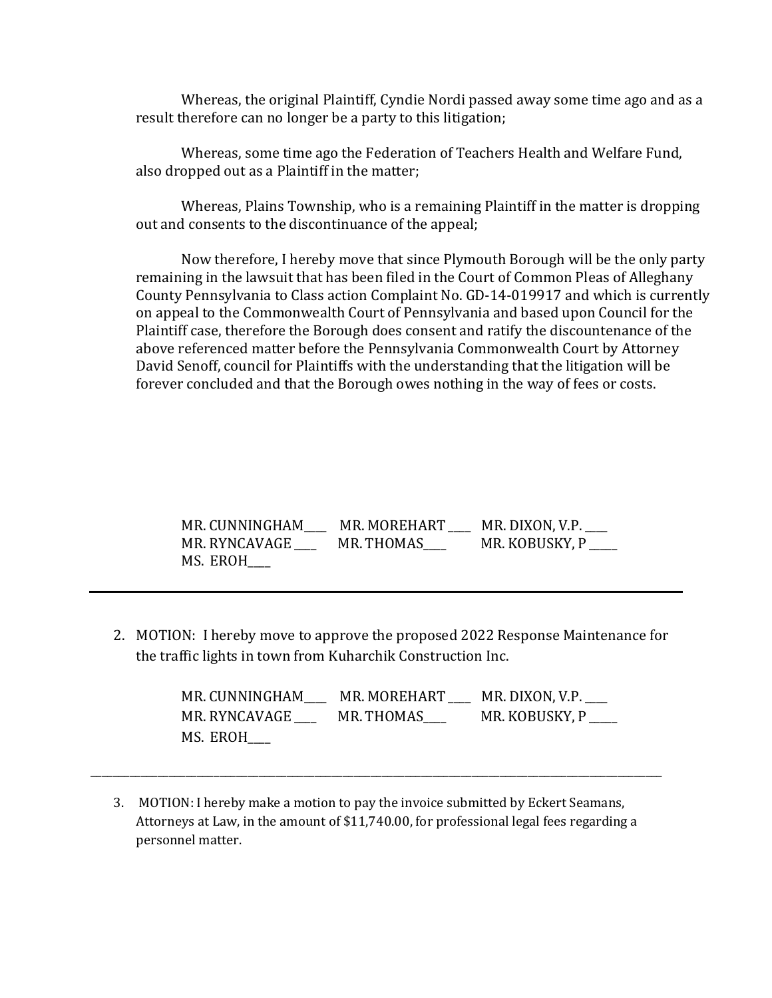Whereas, the original Plaintiff, Cyndie Nordi passed away some time ago and as a result therefore can no longer be a party to this litigation;

Whereas, some time ago the Federation of Teachers Health and Welfare Fund, also dropped out as a Plaintiff in the matter;

Whereas, Plains Township, who is a remaining Plaintiff in the matter is dropping out and consents to the discontinuance of the appeal;

Now therefore, I hereby move that since Plymouth Borough will be the only party remaining in the lawsuit that has been filed in the Court of Common Pleas of Alleghany County Pennsylvania to Class action Complaint No. GD-14-019917 and which is currently on appeal to the Commonwealth Court of Pennsylvania and based upon Council for the Plaintiff case, therefore the Borough does consent and ratify the discountenance of the above referenced matter before the Pennsylvania Commonwealth Court by Attorney David Senoff, council for Plaintiffs with the understanding that the litigation will be forever concluded and that the Borough owes nothing in the way of fees or costs.

| MR. CUNNINGHAM | MR. MOREHART | MR. DIXON, V.P. |
|----------------|--------------|-----------------|
| MR. RYNCAVAGE  | MR. THOMAS   | MR. KOBUSKY, P  |
| MS. EROH       |              |                 |

2. MOTION: I hereby move to approve the proposed 2022 Response Maintenance for the traffic lights in town from Kuharchik Construction Inc.

> MR. CUNNINGHAM\_\_\_\_ MR. MOREHART \_\_\_\_ MR. DIXON, V.P.\_\_\_\_ MR. RYNCAVAGE \_\_\_\_\_ MR. THOMAS \_\_\_\_\_ MR. KOBUSKY, P MS. EROH\_\_\_\_

3. MOTION: I hereby make a motion to pay the invoice submitted by Eckert Seamans, Attorneys at Law, in the amount of \$11,740.00, for professional legal fees regarding a personnel matter.

\_\_\_\_\_\_\_\_\_\_\_\_\_\_\_\_\_\_\_\_\_\_\_\_\_\_\_\_\_\_\_\_\_\_\_\_\_\_\_\_\_\_\_\_\_\_\_\_\_\_\_\_\_\_\_\_\_\_\_\_\_\_\_\_\_\_\_\_\_\_\_\_\_\_\_\_\_\_\_\_\_\_\_\_\_\_\_\_\_\_\_\_\_\_\_\_\_\_\_\_\_\_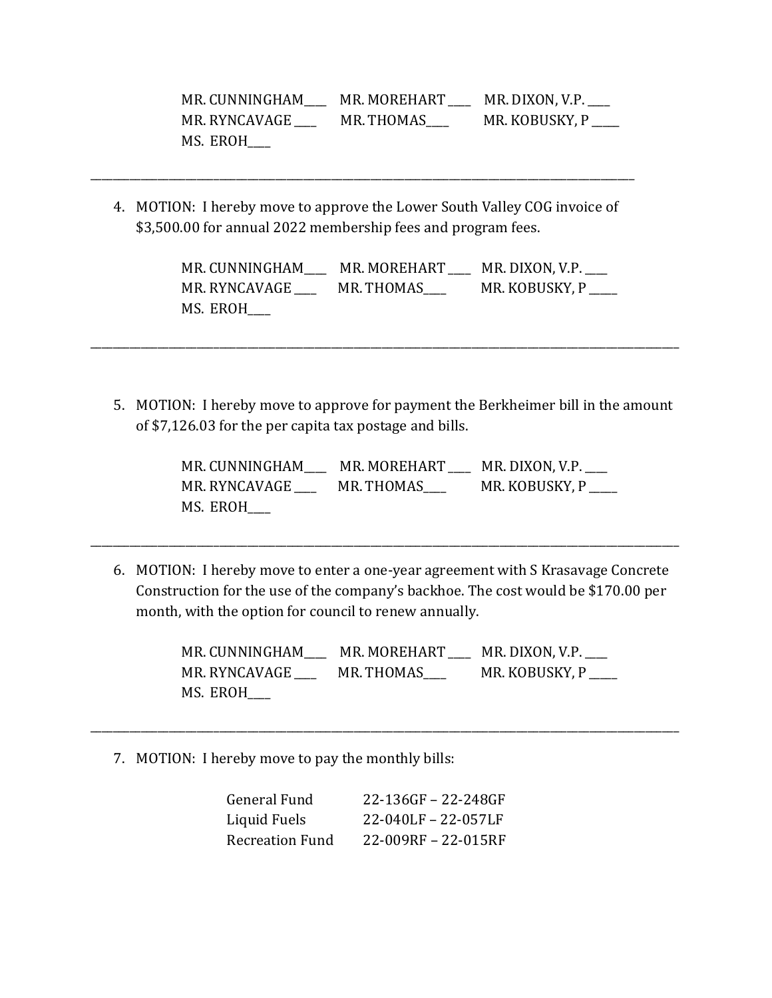| MR. CUNNINGHAM | MR. MOREHART | MR. DIXON, V.P. |
|----------------|--------------|-----------------|
| MR. RYNCAVAGE  | MR. THOMAS   | MR. KOBUSKY, P  |
| MS. EROH       |              |                 |

4. MOTION: I hereby move to approve the Lower South Valley COG invoice of \$3,500.00 for annual 2022 membership fees and program fees.

\_\_\_\_\_\_\_\_\_\_\_\_\_\_\_\_\_\_\_\_\_\_\_\_\_\_\_\_\_\_\_\_\_\_\_\_\_\_\_\_\_\_\_\_\_\_\_\_\_\_\_\_\_\_\_\_\_\_\_\_\_\_\_\_\_\_\_\_\_\_\_\_\_\_\_\_\_\_\_\_\_\_\_\_\_\_\_\_\_\_\_\_\_\_\_\_\_

| MR. CUNNINGHAM | MR. MOREHART | MR. DIXON, V.P. |
|----------------|--------------|-----------------|
| MR. RYNCAVAGE  | MR. THOMAS   | MR. KOBUSKY, P  |
| MS. EROH       |              |                 |

5. MOTION: I hereby move to approve for payment the Berkheimer bill in the amount of \$7,126.03 for the per capita tax postage and bills.

\_\_\_\_\_\_\_\_\_\_\_\_\_\_\_\_\_\_\_\_\_\_\_\_\_\_\_\_\_\_\_\_\_\_\_\_\_\_\_\_\_\_\_\_\_\_\_\_\_\_\_\_\_\_\_\_\_\_\_\_\_\_\_\_\_\_\_\_\_\_\_\_\_\_\_\_\_\_\_\_\_\_\_\_\_\_\_\_\_\_\_\_\_\_\_\_\_\_\_\_\_\_\_\_\_

| MR. CUNNINGHAM | MR. MOREHART | MR. DIXON, V.P. |
|----------------|--------------|-----------------|
| MR. RYNCAVAGE  | MR. THOMAS   | MR. KOBUSKY, P  |
| MS. EROH       |              |                 |

6. MOTION: I hereby move to enter a one-year agreement with S Krasavage Concrete Construction for the use of the company's backhoe. The cost would be \$170.00 per month, with the option for council to renew annually.

\_\_\_\_\_\_\_\_\_\_\_\_\_\_\_\_\_\_\_\_\_\_\_\_\_\_\_\_\_\_\_\_\_\_\_\_\_\_\_\_\_\_\_\_\_\_\_\_\_\_\_\_\_\_\_\_\_\_\_\_\_\_\_\_\_\_\_\_\_\_\_\_\_\_\_\_\_\_\_\_\_\_\_\_\_\_\_\_\_\_\_\_\_\_\_\_\_\_\_\_\_\_\_\_\_

| MR. CUNNINGHAM | MR. MOREHART | MR. DIXON, V.P. |
|----------------|--------------|-----------------|
| MR. RYNCAVAGE  | MR. THOMAS   | MR. KOBUSKY, P  |
| MS. EROH       |              |                 |

\_\_\_\_\_\_\_\_\_\_\_\_\_\_\_\_\_\_\_\_\_\_\_\_\_\_\_\_\_\_\_\_\_\_\_\_\_\_\_\_\_\_\_\_\_\_\_\_\_\_\_\_\_\_\_\_\_\_\_\_\_\_\_\_\_\_\_\_\_\_\_\_\_\_\_\_\_\_\_\_\_\_\_\_\_\_\_\_\_\_\_\_\_\_\_\_\_\_\_\_\_\_\_\_\_

7. MOTION: I hereby move to pay the monthly bills:

| General Fund    | 22-136GF - 22-248GF |
|-----------------|---------------------|
| Liquid Fuels    | 22-040LF - 22-057LF |
| Recreation Fund | 22-009RF - 22-015RF |